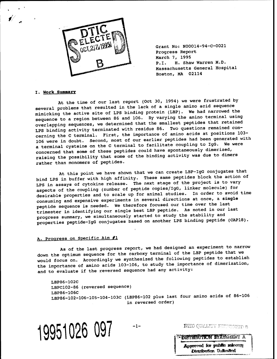

Grant No: N00014-94-C-0021 Progress Report March 7, 1995 P.I. H. Shaw Warren M.D. Massachusetts General Hospital Boston, MA 02114

#### I. Work Summary

*1/*

At the time of our last report (Oct 30, 1994) we were frustrated by several problems that resulted in the lack of a single amino acid sequence mimicking the active site of LPS binding protein (LBP). We had narrowed the sequence to a region between 86 and 106. By varying the amino terminal using overlapping sequences, we determined that the smallest peptides that retained LPS binding activity terminated with residue 86. Two questions remained concerning the C terminal. First, the importance of amino acids at positions 103- 106 were in doubt. Second, most of our earlier peptides had been generated with a terminal cysteine on the C terminal to facilitate coupling to IgG. We were concerned that some of these peptides could have spontaneously dimerized, raising the possibility that some of the binding activity was due to dimers rather than monomers of peptides.

At this point we have shown that we can create LBP-IgG conjugates that bind LPS in buffer with high affinity. These same peptides block the action of LPS in assays of cytokine release. The next stage of the project is to vary aspects of the coupling (number of peptide copies/IgG, linker molecule) for desirable properties and to scale up for animal studies. In order to avoid time consuming and expensive experiments in several directions at once, a single peptide sequence is needed. We therefore focused our time over the last trimester in identifying our single best LBP peptide. As noted in our last progress summary, we simultaneously started to study the stability and properties peptide-IgG conjugates based on another LPS binding peptide (CAP18).

# A. Progress on Specific Aim #1

As of the last progress report, we had designed an experiment to narrow down the optimum sequence for the carboxy terminal of the LBP peptide that we would focus on. Accordingly we synthesized the following peptides to establish the importance of amino acids 103-106, to study the importance of dimerization, and to evaluate if the reversed sequence had any activity:

LBP86-102C LBPC102-86 (reversed sequence) LBP86-106C<br>LBP86-102-106-105-104-103C (LBP86-102 plus last four amino acids of 86-106 in reversed order)

**19951026 097** --- *DELGEMENTER AT* 

Approved for public releases Distribution Unifonitod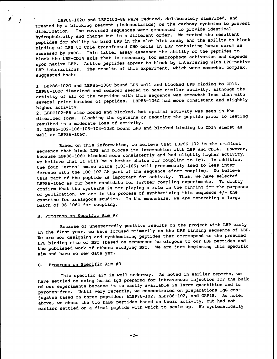LBP86-102C and LBPC102-86 were reduced, deliberately dimerized, and treated by a blocking reagent (iodoacetamide) on the carboxy cysteine to prevent dimerization. The reversed sequences were generated to provide identical hydrophobicity and charge but in a different order. We tested the resultant peptides for ability to bind LPS in the slot blot assay and the ability to block binding of LPS to CD14 transfected CHO cells in LBP containing human serum as assessed by FACS. This latter assay assesses the ability of the peptides to block the LBP-CD14 axis that is necessary for macrophage activation and depends upon native LBP. Active peptides appear to block by interfering with LPS-native LBP interactions. The results of this experiment, which were somewhat complex, suggested that:

1. LBP86-102C and LBP86-106C bound LPS well and blocked LPS binding to CD14. LBP86-102C dimerized and reduced seemed to have similar activity, although the activity of all of the peptides with this sequence was somewhat less than with several prior batches of peptides. LBP86-106C had more consistent and slightly higher activity.

2. LBPC102-86 also bound and blocked, but optimal activity was seen in the dimerized form. Blocking the cysteine or reducing the peptide prior to testing resulted in a moderate loss of activity.

3. LBP86-102-106-105-104-103C bound LPS and blocked binding to CD14 almost as well as LBP86-106C.

Based on this information, we believe that LBP86-102 is the smallest sequence that binds LPS and blocks its interaction with LBP and CD14. However, because LBP86-106C blocked more consistently and had slightly higher activity, we believe that it will be a better choice for coupling to IgG. In addition, the four "extra" amino acids (103-106) will presumeably lead to less interference with the 100-102 AA part of the sequence after coupling. We believe this part of the peptide is important for activity. Thus, we have selected LBP86-106C as our best candidate for further coupling experiments. To doubly confirm that the cysteine is not playing a role in the binding for the purposes of publication, we are in the process of synthesizing this sequence +/- the cysteine for analagous studies. In the meanwhile, we are generating a large batch of 86-106C for coupling.

### B. Progress on Specific Aim #2

Because of unexpectedly positive results on the project with LBP early in the first year, we have focused primarily on the LPS binding sequence of LBP. We are now designing and synthesizing peptides that correspond to the presumed LPS binding site of BPI (based on sequences homologous to our LBP peptides and the published work of others studying BPI. We are just beginning this specific aim and have no new data yet.

### C. Progress on Specific Aim #3

This specific aim is well underway. As noted in earlier reports, we have settled on using human IgG prepared for intravenous injection for the bulk of our experiments because it is easily available in large quantities and is pyrogen-free. Until very recently, we concentrated on preparations IgG conjugates based on three peptides: hLBP76-102, hLBP86-102, and CAP18. As noted above, we chose the two hLBP peptides based on their activity, but had not earlier settled on a final peptide with which to scale up. We systematically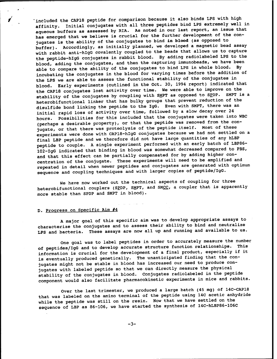included the CAP18 peptide for comparison because it also binds LPS with high affinity. Initial conjugates with all three peptides bind LPS extremely well in aqueous buffers as assessed by RIA. As noted in our last report, an issue that has emerged that we believe is crucial for the further development of the conjugates is the ability of the conjugates to bind **in blood** (as opposed to buffer). Accordingly, as initially planned, we developed a magnetic bead assay with rabbit anti-hlgG covalently coupled to the beads that allows us to capture the peptide-hlgG conjugates in rabbit blood. By adding radiolabeled LPS to the blood, adding the conjugates, and then the capturing immunobeads, we have been able to compare the ability of the conjugates to bind LPS in whole blood. By incubating the conjugates in the blood for varying times before the addition of the LPS we are able to assess the functional stability of the conjugates in blood. Early experiments (outlined in the Oct. 30, 1994 report) indicated that the CAP18 conjugates lost activity over time. We were able to improve on the stability of the conjugates by coupling with SMPT as opposed to SPDP. SMPT is a heterobifunctional linker that has bulky groups that prevent reduction of the disulfide bond linking the peptide to the IgG. Even with SMPT, there was an initial rapid loss of activity over time, followed by a slow decay over 24 hours. Possibilities for this included that the conjugates were taken into WBC (perhaps a desirable property), or that the peptide was removed from the conjugate, or that there was proteolysis of the peptide itself. Most of these experiments were done with CAP18-hIgG conjugates because we had not settled on a final LBP peptide and we therefore did not have large quantities of any hLBP peptide to couple. A single experiment performed with an early batch of LBP86- 102-IgG indicated that binding in blood was somewhat decreased compared to PBS, and that this effect can be partially compensated for by adding higher concentration of the conjugate. These experiments will need to be amplified and repeated in detail when newer peptides and conjugates are generated with optimum sequence and coupling techniques and with larger copies of peptide/IgG.

We have now worked out the technical aspects of coupling for three heterobifunctional couplers (SPDP, SMPT, and SMCC, a coupler that is apparently more stable than SPDP and SMPT in blood).

# D. Progress on Specific Aim #4

A major goal of this specific aim was to develop appropriate assays to characterize the conjugates and to assess their ability to bind and neutralize LPS and bacteria. These assays are now all up and running and available to us.

One goal was to label peptides in order to accurately measure the number of peptides/IgG and to develop accurate structure function relationships. This information is crucial for the development of a final product, especially if it is eventually produced genetically. The unanticipated finding that the conjugates might not be stable in blood has increased our need to produce conjugates with labeled peptide so that we can directly measure the physical stability of the conjugates in blood. Conjugates radiolabeled in the peptide component would also facilitate pharmacokinetic experiments in mice and rabbits.

Over the last trimester, we produced a large batch (45 mg) of 14C-CAP18 that was labeled on the amino terminal of the peptide using 14C acetic anhydride while the peptide was still on the resin. Now that we have settled on the sequence of LBP as 86-106, we have started the synthesis of 14C-hLBP86-106C

-3-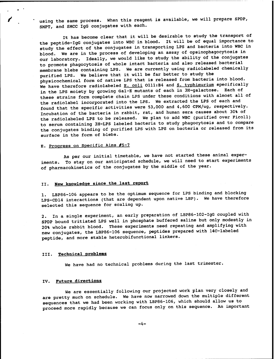using the same process. When this reagent is available, we will prepare SPDP, SMPT, and SMCC IgG conjugates with each.

It has become clear that it will be desirable to study the transport of the peptide-IgG conjugates into WBC in blood. It will be of equal importance to study the effect of the conjugates in transporting LPS and bacteria into WBC in blood. We are in the process of developing an assay of opsinophagocytosis in our laboratory. Ideally, we would like to study the ability of the conjugates to promote phagocytosis of whole intact bacteria and also released bacterial membrane blebs containing LPS. We are currently using radiolabeled chemically purified LPS. We believe that it will be far better to study the physicochemical form of native LPS that is released from bacteria into blood. We have therefore radiolabeled E. coli O111:B4 and S. typhimurium specifically in the LPS moiety by growing Gal-E mutants of each in 3H-galactose. Each of these strains form complete chain LPS under these conditions with almost all of the radiolabel incorporated into the LPS. We extracted the LPS of each and found that the specific activities were 53,000 and 4,600 CPM/ug, respectively. Incubation of the bacteria in rabbit, rat, and human sera causes about 30% of the radiolabeled LPS to be released. We plan to add WBC (purified over Ficoll) to serum containing 3H-LPS labeled bacteria to study phagocytosis and to compare the conjugates binding of purified LPS with LPS on bacteria or released from its surface in the form of blebs.

# E. Progress on Specific Aims #5-7

As per our initial timetable, we have not started these animal experiments. To stay on our anticipated schedule, we will need to start experiments of pharmacokinetics of the conjugates by the middle of the year.

# II. New knowledge since the last report

1. LBP86-106 appears to be the optimum sequence for LPS binding and blocking LPS-CD14 interactions (that are dependent upon native LBP). We have therefore selected this sequence for scaling up.

2. In a single experiment, an early preparation of LBP86-102-IgG coupled with SPDP bound tritiated LPS well in phosphate buffered saline but only modestly in 20% whole rabbit blood. These experiments need repeating and amplifying with new conjugates, the LBP86-106 sequence, peptides prepared with 14C-labeled peptide, and more stable heterobifunctional linkers.

#### III. Technical problems

We have had no technical problems during the last trimester.

#### IV. Future directions

We are essentially following our projected work plan very closely and are pretty much on schedule. We have now narrowed down the multiple different sequences that we had been working with LBP86-106, which should allow us to proceed more rapidly because we can focus only on this sequence. An important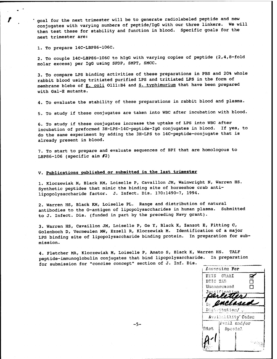goal for the next trimester will be to generate radiolabeled peptide and new conjugates with varying numbers of peptide/IgG with our three linkers. We will then test these for stability and function in blood. Specific goals for the next trimester are:

1. To prepare 14C-LBP86-106C.

2. To couple 14C-LBP86-106C to hlgG with varying copies of peptide (2,4,8-fold molar excess) per IgG using SPDP, SMPT, SMCC.

3. To compare LPS binding activities of these preparations in PBS and 20% whole rabbit blood using tritiated purified LPS and tritiated LPS in the form of membrane blebs of E. coli O111:B4 and S. typhimurium that have been prepared with Gal-E mutants.

4. To evaluate the stability of these preparations in rabbit blood and plasma.

5. To study if these conjugates are taken into WBC after incubation with blood.

6. To study if these conjugates increase the uptake of LPS into WBC after incubation of preformed 3H-LPS-14C-peptide-IgG conjugates in blood. If yes, to do the same experiment by adding the 3H-LPS to 14C-peptide-conjugate that is already present in blood.

7. To start to prepare and evaluate sequences of BPI that are homologous to LBP86-106 (specific aim #2)

# V. Publications published or submitted in the last trimester

1. Kloczewiak M, Black KM, Loiselle P, Cavaillon JM, Wainwright N, Warren HS. Synthetic peptides that mimic the binding site of horseshoe crab antilipopolysaccharide factor. J. Infect. Dis. 170:1490-7, 1994.

2. Warren HS, Black KM, Loiselle PL. Range and distribution of natural antibodies to the O-antigen of lipopolysaccharides in human plasma. Submitted to J. Infect. Dis. (funded in part by the preceding Navy grant).

3. Warren HS, Cavaillon JM, Loiselle P, Ge Y, Black K, Zanzot E, Fitting C, Golenboch D, Vermeulen MW, Ezzell R, Kloczewiak M. Identification of a major LPS binding site of lipopolysaccharide binding protein. In preparation for submission.

4. Fletcher MA, Kloczewiak M, Loiselle P, Amato S, Black K, Warren HS. TALF peptide-immunoglobulin conjugates that bind lipopolysaccharide. In preparation for submission for "concise concept" section of J. Inf. Dis.

Aaesssidn For *mis* GRA&I g^ *mic* XÄB  $\Box$ Unannounced □ Distribution, Availability" Codes Avail and/or D1st. SposiaJ,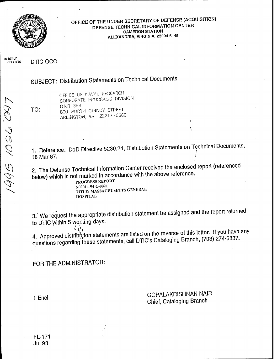

# **OFFICE OF THE UNDER SECRETARY OF DEFENSE (ACQUISITION) DEFENSE TECHNICAL INFORMATION CENTER CAMERON STATION ALEXANDRIA, VIRGINIA 22304-6145**

**IN REPLY <sup>r</sup>^\_,«. ^,-V/-N REFERTO DTIC-OCC**

SUBJECT: Distribution Statements on Technical Documents

TO:

**-3**

OFFICE OF NAVAL RESEARCH CORPORATE PROGRAMS DIVISION ONR 353 800 NORTH QUINCY STREET ARLINGTON, VA 22217 -5660

1. Reference: DoD Directive 5230.24, Distribution Statements on Technical Documents 18 Mar 87.

2. The Defense Technical Information Center received the enclosed report (referenced below) which is not marked in accordance with the above reference.

PROGRESS REPORT N00014-94-C-0021 TITLE: MASSACHUSETTS GENERAL HOSPITAL

3/ We request the appropriate distribution statement be assigned and the report returned to DTIC within 5 working days.

٠, 4. Approved distribution statements are listed on the reverse of this letter. If you have any questions regarding these statements, call DTIC's Cataloging Branch, (703) 274-6837.

FOR THE ADMINISTRATOR:

1 End<br>1 End GOPALAKRISHNAN NAIR Chief, Cataloging Branch

÷.

FL-171 Jul93